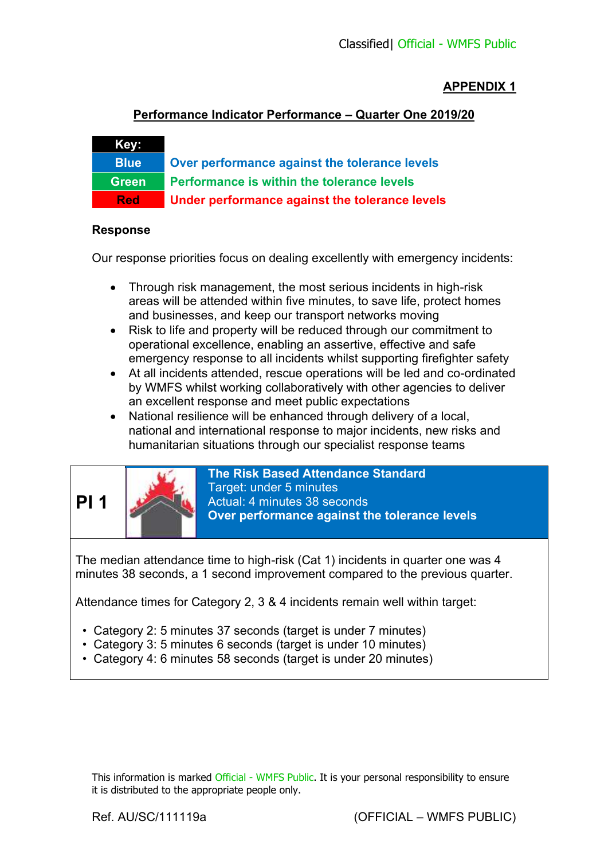### **APPENDIX 1**

#### **Performance Indicator Performance – Quarter One 2019/20**

# **Blue Over performance against the tolerance levels Green Performance is within the tolerance levels Red Under performance against the tolerance levels**

#### **Response**

**Key:** 

Our response priorities focus on dealing excellently with emergency incidents:

- Through risk management, the most serious incidents in high-risk areas will be attended within five minutes, to save life, protect homes and businesses, and keep our transport networks moving
- Risk to life and property will be reduced through our commitment to operational excellence, enabling an assertive, effective and safe emergency response to all incidents whilst supporting firefighter safety
- At all incidents attended, rescue operations will be led and co-ordinated by WMFS whilst working collaboratively with other agencies to deliver an excellent response and meet public expectations
- National resilience will be enhanced through delivery of a local. national and international response to major incidents, new risks and humanitarian situations through our specialist response teams



**The Risk Based Attendance Standard**  Target: under 5 minutes Actual: 4 minutes 38 seconds **Over performance against the tolerance levels** 

The median attendance time to high-risk (Cat 1) incidents in quarter one was 4 minutes 38 seconds, a 1 second improvement compared to the previous quarter.

Attendance times for Category 2, 3 & 4 incidents remain well within target:

- Category 2: 5 minutes 37 seconds (target is under 7 minutes)
- Category 3: 5 minutes 6 seconds (target is under 10 minutes)
- Category 4: 6 minutes 58 seconds (target is under 20 minutes)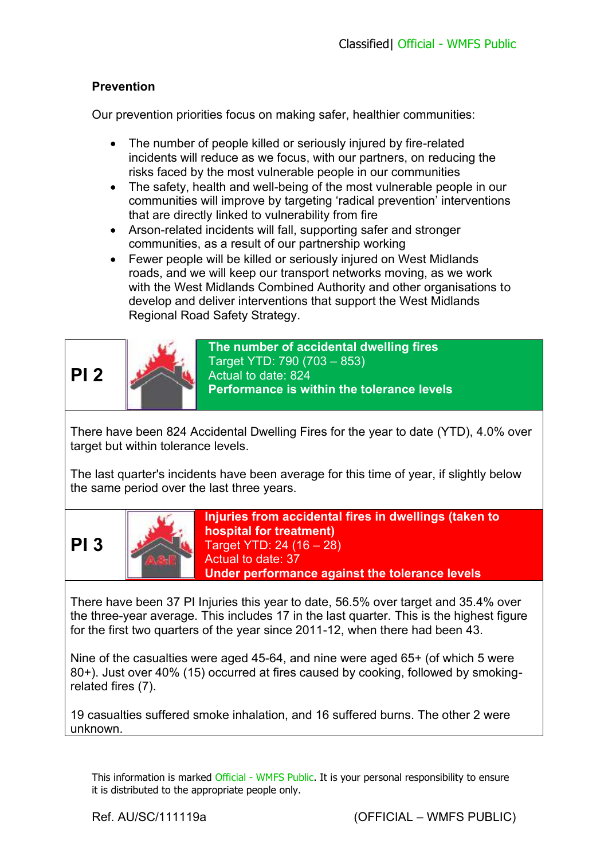# **Prevention**

Our prevention priorities focus on making safer, healthier communities:

- The number of people killed or seriously injured by fire-related incidents will reduce as we focus, with our partners, on reducing the risks faced by the most vulnerable people in our communities
- The safety, health and well-being of the most vulnerable people in our communities will improve by targeting 'radical prevention' interventions that are directly linked to vulnerability from fire
- Arson-related incidents will fall, supporting safer and stronger communities, as a result of our partnership working
- Fewer people will be killed or seriously injured on West Midlands roads, and we will keep our transport networks moving, as we work with the West Midlands Combined Authority and other organisations to develop and deliver interventions that support the West Midlands Regional Road Safety Strategy.

**PI 2** 



**The number of accidental dwelling fires**  Target YTD: 790 (703 – 853) Actual to date: 824 **Performance is within the tolerance levels** 

There have been 824 Accidental Dwelling Fires for the year to date (YTD), 4.0% over target but within tolerance levels.

The last quarter's incidents have been average for this time of year, if slightly below the same period over the last three years.





**Injuries from accidental fires in dwellings (taken to hospital for treatment)**  Target YTD: 24 (16 – 28) Actual to date: 37 **Under performance against the tolerance levels**

There have been 37 PI Injuries this year to date, 56.5% over target and 35.4% over the three-year average. This includes 17 in the last quarter. This is the highest figure for the first two quarters of the year since 2011-12, when there had been 43.

Nine of the casualties were aged 45-64, and nine were aged 65+ (of which 5 were 80+). Just over 40% (15) occurred at fires caused by cooking, followed by smokingrelated fires (7).

19 casualties suffered smoke inhalation, and 16 suffered burns. The other 2 were unknown.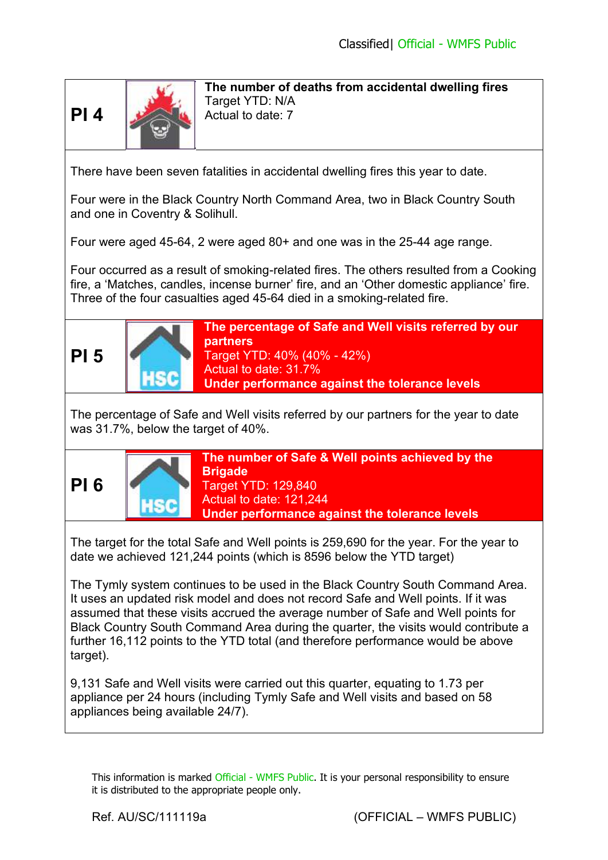

**The number of deaths from accidental dwelling fires**  Target YTD: N/A Actual to date: 7

There have been seven fatalities in accidental dwelling fires this year to date.

Four were in the Black Country North Command Area, two in Black Country South and one in Coventry & Solihull.

Four were aged 45-64, 2 were aged 80+ and one was in the 25-44 age range.

Four occurred as a result of smoking-related fires. The others resulted from a Cooking fire, a 'Matches, candles, incense burner' fire, and an 'Other domestic appliance' fire. Three of the four casualties aged 45-64 died in a smoking-related fire.



**The percentage of Safe and Well visits referred by our partners**  Target YTD: 40% (40% - 42%) Actual to date: 31.7% **Under performance against the tolerance levels** 

The percentage of Safe and Well visits referred by our partners for the year to date was 31.7%, below the target of 40%.



**The number of Safe & Well points achieved by the Brigade**  Target YTD: 129,840 Actual to date: 121,244 **Under performance against the tolerance levels**

The target for the total Safe and Well points is 259,690 for the year. For the year to date we achieved 121,244 points (which is 8596 below the YTD target)

The Tymly system continues to be used in the Black Country South Command Area. It uses an updated risk model and does not record Safe and Well points. If it was assumed that these visits accrued the average number of Safe and Well points for Black Country South Command Area during the quarter, the visits would contribute a further 16,112 points to the YTD total (and therefore performance would be above target).

9,131 Safe and Well visits were carried out this quarter, equating to 1.73 per appliance per 24 hours (including Tymly Safe and Well visits and based on 58 appliances being available 24/7).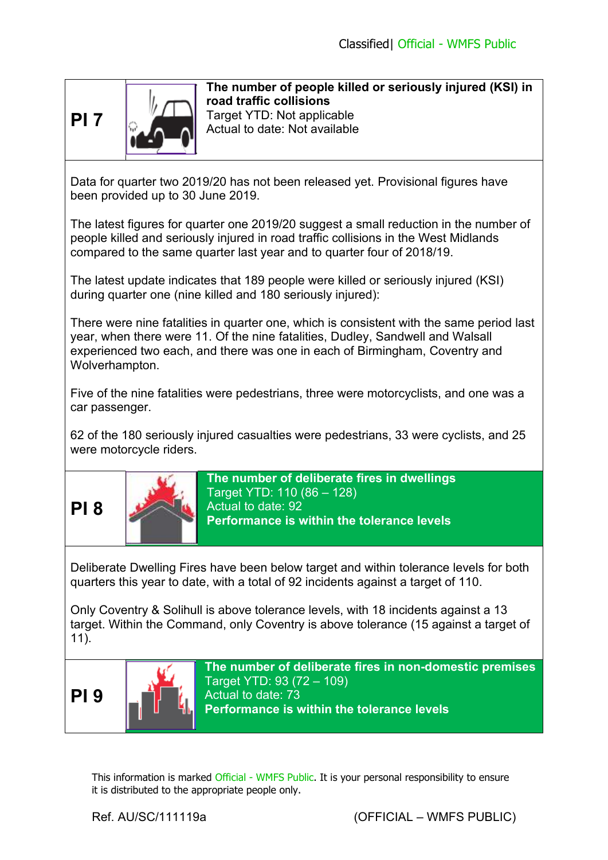



**The number of people killed or seriously injured (KSI) in road traffic collisions**  Target YTD: Not applicable Actual to date: Not available

Data for quarter two 2019/20 has not been released yet. Provisional figures have been provided up to 30 June 2019.

The latest figures for quarter one 2019/20 suggest a small reduction in the number of people killed and seriously injured in road traffic collisions in the West Midlands compared to the same quarter last year and to quarter four of 2018/19.

The latest update indicates that 189 people were killed or seriously injured (KSI) during quarter one (nine killed and 180 seriously injured):

There were nine fatalities in quarter one, which is consistent with the same period last year, when there were 11. Of the nine fatalities, Dudley, Sandwell and Walsall experienced two each, and there was one in each of Birmingham, Coventry and Wolverhampton.

Five of the nine fatalities were pedestrians, three were motorcyclists, and one was a car passenger.

62 of the 180 seriously injured casualties were pedestrians, 33 were cyclists, and 25 were motorcycle riders.





**The number of deliberate fires in dwellings**  Target YTD: 110 (86 – 128) Actual to date: 92 **Performance is within the tolerance levels**

Deliberate Dwelling Fires have been below target and within tolerance levels for both quarters this year to date, with a total of 92 incidents against a target of 110.

Only Coventry & Solihull is above tolerance levels, with 18 incidents against a 13 target. Within the Command, only Coventry is above tolerance (15 against a target of 11).



**The number of deliberate fires in non-domestic premises**  Target YTD: 93 (72 – 109) Actual to date: 73 **Performance is within the tolerance levels**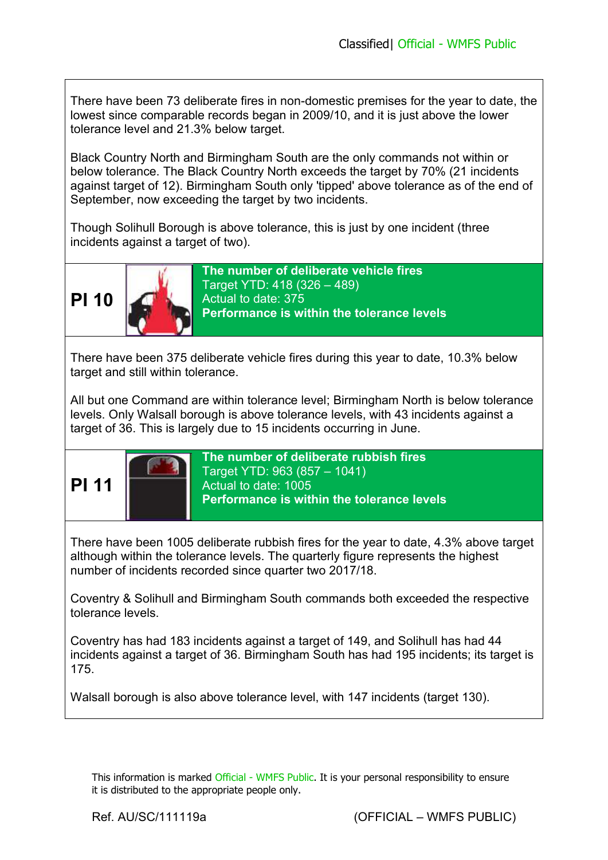There have been 73 deliberate fires in non-domestic premises for the year to date, the lowest since comparable records began in 2009/10, and it is just above the lower tolerance level and 21.3% below target.

Black Country North and Birmingham South are the only commands not within or below tolerance. The Black Country North exceeds the target by 70% (21 incidents against target of 12). Birmingham South only 'tipped' above tolerance as of the end of September, now exceeding the target by two incidents.

Though Solihull Borough is above tolerance, this is just by one incident (three incidents against a target of two).



**The number of deliberate vehicle fires**  Target YTD: 418 (326 – 489) Actual to date: 375 **Performance is within the tolerance levels** 

There have been 375 deliberate vehicle fires during this year to date, 10.3% below target and still within tolerance.

All but one Command are within tolerance level; Birmingham North is below tolerance levels. Only Walsall borough is above tolerance levels, with 43 incidents against a target of 36. This is largely due to 15 incidents occurring in June.



**The number of deliberate rubbish fires**  Target YTD: 963 (857 – 1041) Actual to date: 1005 **Performance is within the tolerance levels**

There have been 1005 deliberate rubbish fires for the year to date, 4.3% above target although within the tolerance levels. The quarterly figure represents the highest number of incidents recorded since quarter two 2017/18.

Coventry & Solihull and Birmingham South commands both exceeded the respective tolerance levels.

Coventry has had 183 incidents against a target of 149, and Solihull has had 44 incidents against a target of 36. Birmingham South has had 195 incidents; its target is 175.

Walsall borough is also above tolerance level, with 147 incidents (target 130).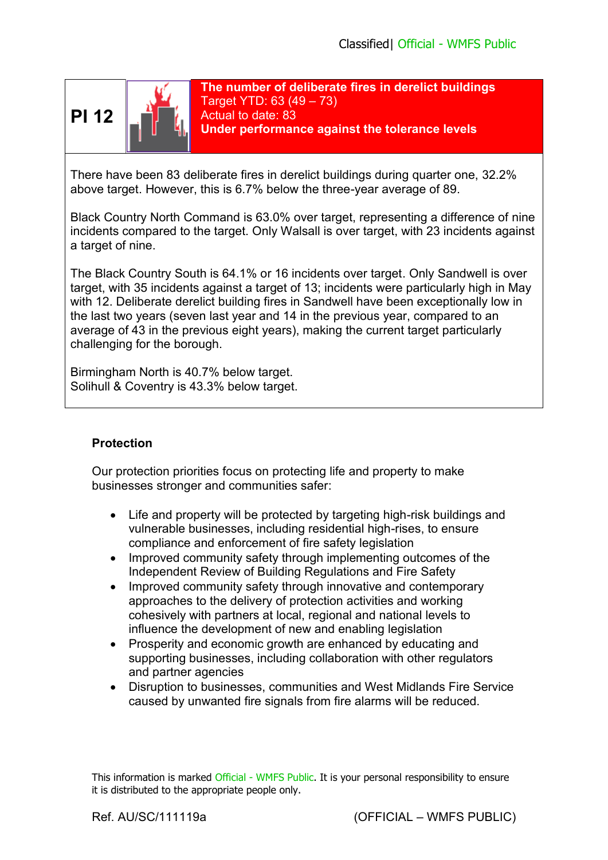



**The number of deliberate fires in derelict buildings**  Target YTD: 63 (49 – 73) Actual to date: 83 **Under performance against the tolerance levels**

There have been 83 deliberate fires in derelict buildings during quarter one, 32.2% above target. However, this is 6.7% below the three-year average of 89.

Black Country North Command is 63.0% over target, representing a difference of nine incidents compared to the target. Only Walsall is over target, with 23 incidents against a target of nine.

The Black Country South is 64.1% or 16 incidents over target. Only Sandwell is over target, with 35 incidents against a target of 13; incidents were particularly high in May with 12. Deliberate derelict building fires in Sandwell have been exceptionally low in the last two years (seven last year and 14 in the previous year, compared to an average of 43 in the previous eight years), making the current target particularly challenging for the borough.

Birmingham North is 40.7% below target. Solihull & Coventry is 43.3% below target.

#### **Protection**

Our protection priorities focus on protecting life and property to make businesses stronger and communities safer:

- Life and property will be protected by targeting high-risk buildings and vulnerable businesses, including residential high-rises, to ensure compliance and enforcement of fire safety legislation
- Improved community safety through implementing outcomes of the Independent Review of Building Regulations and Fire Safety
- Improved community safety through innovative and contemporary approaches to the delivery of protection activities and working cohesively with partners at local, regional and national levels to influence the development of new and enabling legislation
- Prosperity and economic growth are enhanced by educating and supporting businesses, including collaboration with other regulators and partner agencies
- Disruption to businesses, communities and West Midlands Fire Service caused by unwanted fire signals from fire alarms will be reduced.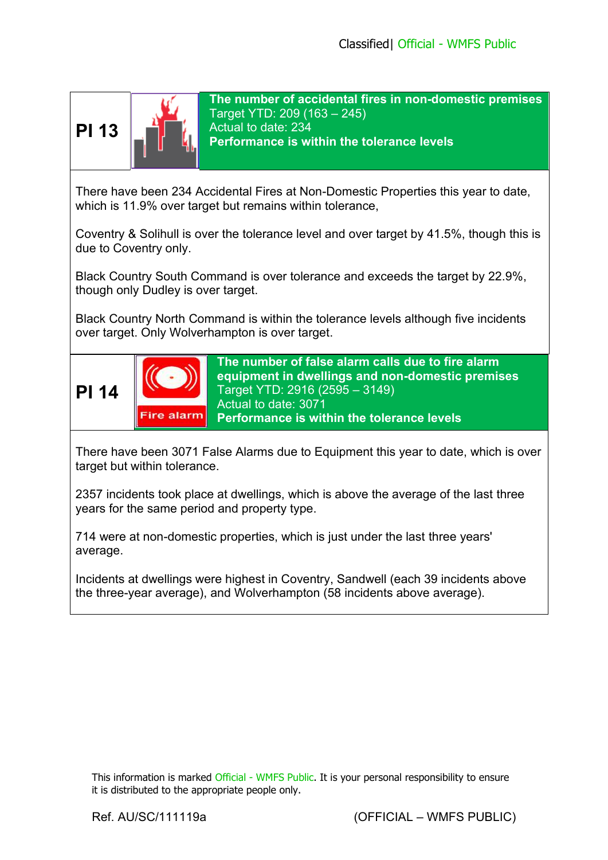

**The number of accidental fires in non-domestic premises**  Target YTD: 209 (163 – 245) Actual to date: 234 **Performance is within the tolerance levels** 

There have been 234 Accidental Fires at Non-Domestic Properties this year to date, which is 11.9% over target but remains within tolerance,

Coventry & Solihull is over the tolerance level and over target by 41.5%, though this is due to Coventry only.

Black Country South Command is over tolerance and exceeds the target by 22.9%, though only Dudley is over target.

Black Country North Command is within the tolerance levels although five incidents over target. Only Wolverhampton is over target.



There have been 3071 False Alarms due to Equipment this year to date, which is over target but within tolerance.

2357 incidents took place at dwellings, which is above the average of the last three years for the same period and property type.

714 were at non-domestic properties, which is just under the last three years' average.

Incidents at dwellings were highest in Coventry, Sandwell (each 39 incidents above the three-year average), and Wolverhampton (58 incidents above average).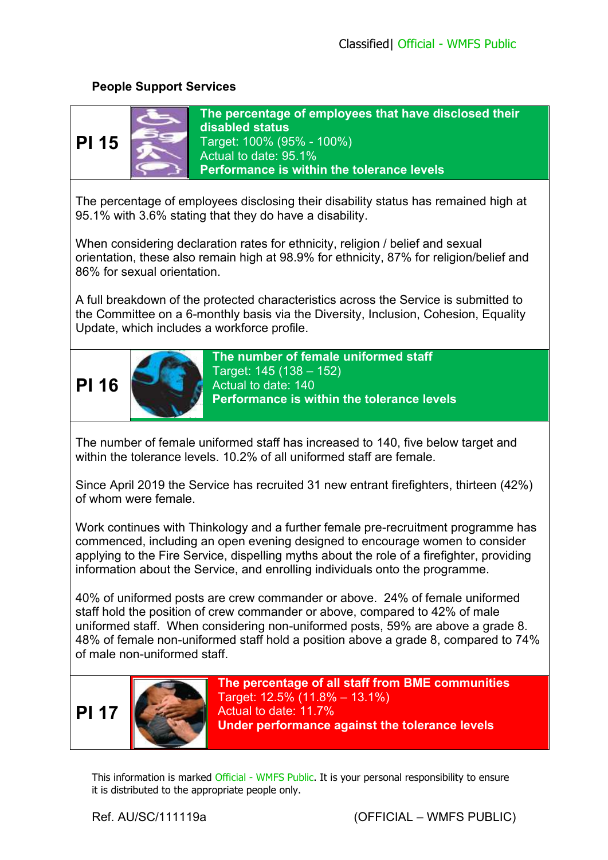# **People Support Services**



**The percentage of employees that have disclosed their disabled status**  Target: 100% (95% - 100%) Actual to date: 95.1% **Performance is within the tolerance levels** 

The percentage of employees disclosing their disability status has remained high at 95.1% with 3.6% stating that they do have a disability.

When considering declaration rates for ethnicity, religion / belief and sexual orientation, these also remain high at 98.9% for ethnicity, 87% for religion/belief and 86% for sexual orientation.

A full breakdown of the protected characteristics across the Service is submitted to the Committee on a 6-monthly basis via the Diversity, Inclusion, Cohesion, Equality Update, which includes a workforce profile.



**The number of female uniformed staff**  Target: 145 (138 – 152) Actual to date: 140 **Performance is within the tolerance levels**

The number of female uniformed staff has increased to 140, five below target and within the tolerance levels. 10.2% of all uniformed staff are female.

Since April 2019 the Service has recruited 31 new entrant firefighters, thirteen (42%) of whom were female.

Work continues with Thinkology and a further female pre-recruitment programme has commenced, including an open evening designed to encourage women to consider applying to the Fire Service, dispelling myths about the role of a firefighter, providing information about the Service, and enrolling individuals onto the programme.

40% of uniformed posts are crew commander or above. 24% of female uniformed staff hold the position of crew commander or above, compared to 42% of male uniformed staff. When considering non-uniformed posts, 59% are above a grade 8. 48% of female non-uniformed staff hold a position above a grade 8, compared to 74% of male non-uniformed staff.





**The percentage of all staff from BME communities**  Target: 12.5% (11.8% – 13.1%) Actual to date: 11.7% **Under performance against the tolerance levels**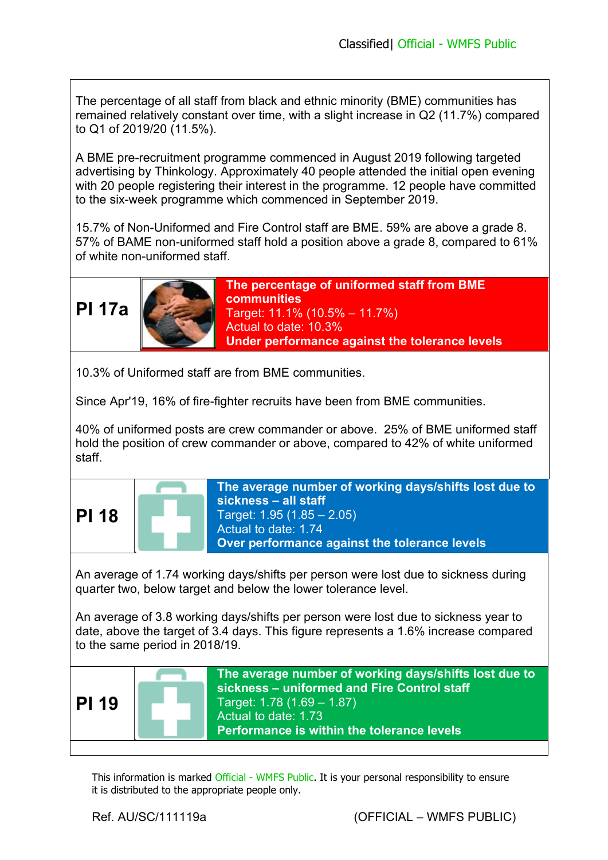The percentage of all staff from black and ethnic minority (BME) communities has remained relatively constant over time, with a slight increase in Q2 (11.7%) compared to Q1 of 2019/20 (11.5%).

A BME pre-recruitment programme commenced in August 2019 following targeted advertising by Thinkology. Approximately 40 people attended the initial open evening with 20 people registering their interest in the programme. 12 people have committed to the six-week programme which commenced in September 2019.

15.7% of Non-Uniformed and Fire Control staff are BME. 59% are above a grade 8. 57% of BAME non-uniformed staff hold a position above a grade 8, compared to 61% of white non-uniformed staff.

**PI 17a**



**The percentage of uniformed staff from BME communities**  Target: 11.1% (10.5% – 11.7%) Actual to date: 10.3% **Under performance against the tolerance levels**

10.3% of Uniformed staff are from BME communities.

Since Apr'19, 16% of fire-fighter recruits have been from BME communities.

40% of uniformed posts are crew commander or above. 25% of BME uniformed staff hold the position of crew commander or above, compared to 42% of white uniformed staff.

| <b>PI 18</b>                                                                                                                                                                                                |  | The average number of working days/shifts lost due to<br>sickness - all staff<br>Target: 1.95 (1.85 - 2.05)<br>Actual to date: 1.74<br>Over performance against the tolerance levels                            |
|-------------------------------------------------------------------------------------------------------------------------------------------------------------------------------------------------------------|--|-----------------------------------------------------------------------------------------------------------------------------------------------------------------------------------------------------------------|
| An average of 1.74 working days/shifts per person were lost due to sickness during<br>quarter two, below target and below the lower tolerance level.                                                        |  |                                                                                                                                                                                                                 |
| An average of 3.8 working days/shifts per person were lost due to sickness year to<br>date, above the target of 3.4 days. This figure represents a 1.6% increase compared<br>to the same period in 2018/19. |  |                                                                                                                                                                                                                 |
| <b>PI 19</b>                                                                                                                                                                                                |  | The average number of working days/shifts lost due to<br>sickness - uniformed and Fire Control staff<br>Target: 1.78 (1.69 - 1.87)<br>Actual to date: 1.73<br><b>Performance is within the tolerance levels</b> |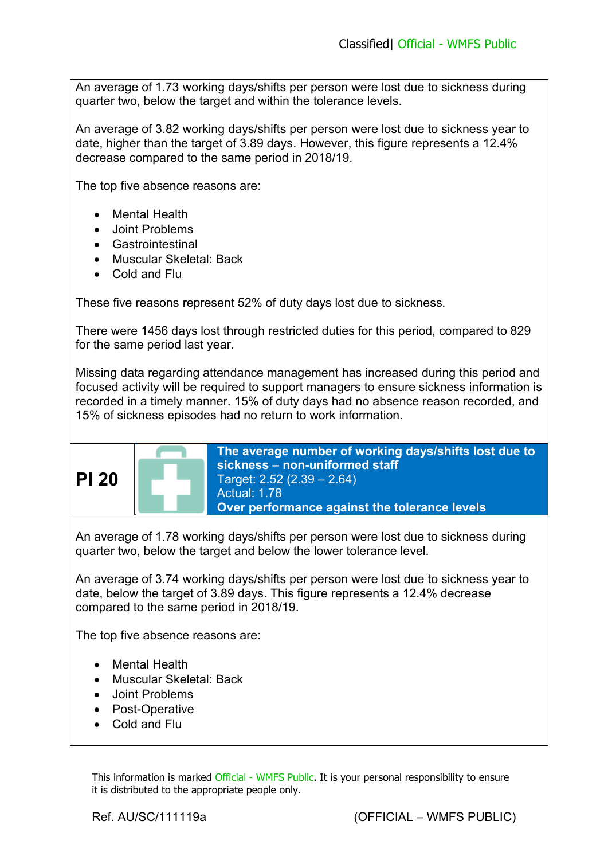An average of 1.73 working days/shifts per person were lost due to sickness during quarter two, below the target and within the tolerance levels.

An average of 3.82 working days/shifts per person were lost due to sickness year to date, higher than the target of 3.89 days. However, this figure represents a 12.4% decrease compared to the same period in 2018/19.

The top five absence reasons are:

- Mental Health
- Joint Problems
- Gastrointestinal
- Muscular Skeletal: Back
- Cold and Flu

These five reasons represent 52% of duty days lost due to sickness.

There were 1456 days lost through restricted duties for this period, compared to 829 for the same period last year.

Missing data regarding attendance management has increased during this period and focused activity will be required to support managers to ensure sickness information is recorded in a timely manner. 15% of duty days had no absence reason recorded, and 15% of sickness episodes had no return to work information.



**The average number of working days/shifts lost due to sickness – non-uniformed staff**  Target: 2.52 (2.39 – 2.64) Actual: 1.78 **Over performance against the tolerance levels**

An average of 1.78 working days/shifts per person were lost due to sickness during quarter two, below the target and below the lower tolerance level.

An average of 3.74 working days/shifts per person were lost due to sickness year to date, below the target of 3.89 days. This figure represents a 12.4% decrease compared to the same period in 2018/19.

The top five absence reasons are:

- Mental Health
- Muscular Skeletal: Back
- Joint Problems
- Post-Operative
- Cold and Flu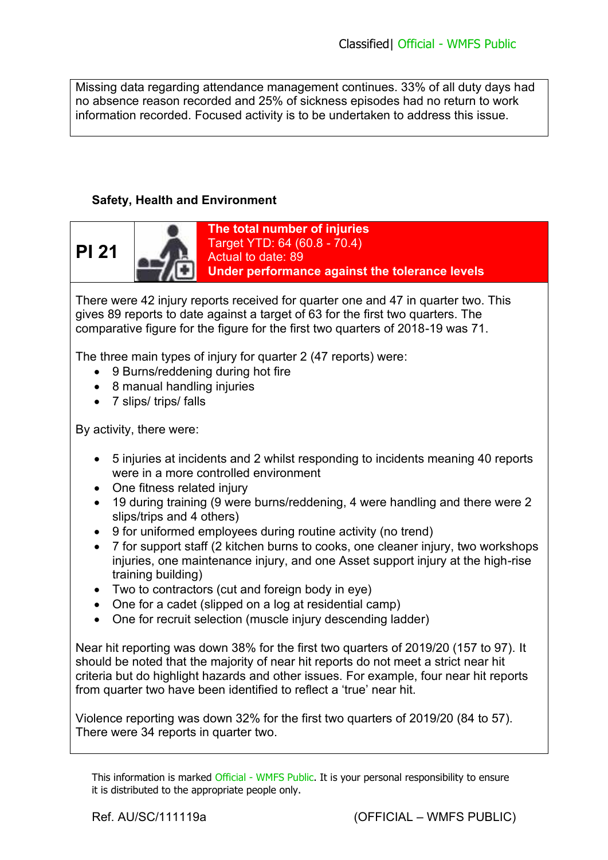Missing data regarding attendance management continues. 33% of all duty days had no absence reason recorded and 25% of sickness episodes had no return to work information recorded. Focused activity is to be undertaken to address this issue.

# **Safety, Health and Environment**



There were 42 injury reports received for quarter one and 47 in quarter two. This gives 89 reports to date against a target of 63 for the first two quarters. The comparative figure for the figure for the first two quarters of 2018-19 was 71.

The three main types of injury for quarter 2 (47 reports) were:

- 9 Burns/reddening during hot fire
- 8 manual handling injuries
- 7 slips/ trips/ falls

By activity, there were:

- 5 injuries at incidents and 2 whilst responding to incidents meaning 40 reports were in a more controlled environment
- One fitness related injury
- 19 during training (9 were burns/reddening, 4 were handling and there were 2 slips/trips and 4 others)
- 9 for uniformed employees during routine activity (no trend)
- 7 for support staff (2 kitchen burns to cooks, one cleaner injury, two workshops injuries, one maintenance injury, and one Asset support injury at the high-rise training building)
- Two to contractors (cut and foreign body in eye)
- One for a cadet (slipped on a log at residential camp)
- One for recruit selection (muscle injury descending ladder)

Near hit reporting was down 38% for the first two quarters of 2019/20 (157 to 97). It should be noted that the majority of near hit reports do not meet a strict near hit criteria but do highlight hazards and other issues. For example, four near hit reports from quarter two have been identified to reflect a 'true' near hit.

Violence reporting was down 32% for the first two quarters of 2019/20 (84 to 57). There were 34 reports in quarter two.